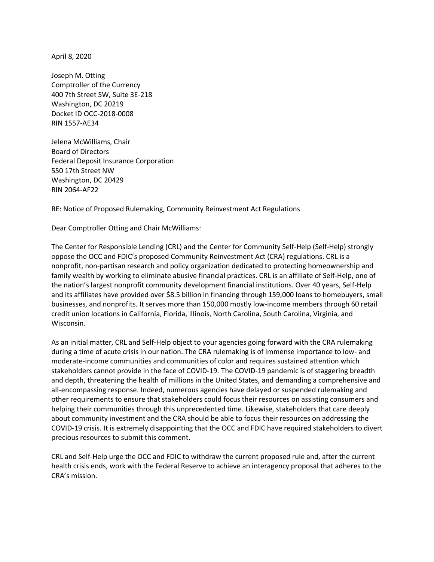April 8, 2020

Joseph M. Otting Comptroller of the Currency 400 7th Street SW, Suite 3E-218 Washington, DC 20219 Docket ID OCC-2018-0008 RIN 1557-AE34

Jelena McWilliams, Chair Board of Directors Federal Deposit Insurance Corporation 550 17th Street NW Washington, DC 20429 RIN 2064-AF22

RE: Notice of Proposed Rulemaking, Community Reinvestment Act Regulations

Dear Comptroller Otting and Chair McWilliams:

The Center for Responsible Lending (CRL) and the Center for Community Self-Help (Self-Help) strongly oppose the OCC and FDIC's proposed Community Reinvestment Act (CRA) regulations. CRL is a nonprofit, non-partisan research and policy organization dedicated to protecting homeownership and family wealth by working to eliminate abusive financial practices. CRL is an affiliate of Self-Help, one of the nation's largest nonprofit community development financial institutions. Over 40 years, Self-Help and its affiliates have provided over \$8.5 billion in financing through 159,000 loans to homebuyers, small businesses, and nonprofits. It serves more than 150,000 mostly low-income members through 60 retail credit union locations in California, Florida, Illinois, North Carolina, South Carolina, Virginia, and Wisconsin.

As an initial matter, CRL and Self-Help object to your agencies going forward with the CRA rulemaking during a time of acute crisis in our nation. The CRA rulemaking is of immense importance to low- and moderate-income communities and communities of color and requires sustained attention which stakeholders cannot provide in the face of COVID-19. The COVID-19 pandemic is of staggering breadth and depth, threatening the health of millions in the United States, and demanding a comprehensive and all-encompassing response. Indeed, numerous agencies have delayed or suspended rulemaking and other requirements to ensure that stakeholders could focus their resources on assisting consumers and helping their communities through this unprecedented time. Likewise, stakeholders that care deeply about community investment and the CRA should be able to focus their resources on addressing the COVID-19 crisis. It is extremely disappointing that the OCC and FDIC have required stakeholders to divert precious resources to submit this comment.

CRL and Self-Help urge the OCC and FDIC to withdraw the current proposed rule and, after the current health crisis ends, work with the Federal Reserve to achieve an interagency proposal that adheres to the CRA's mission.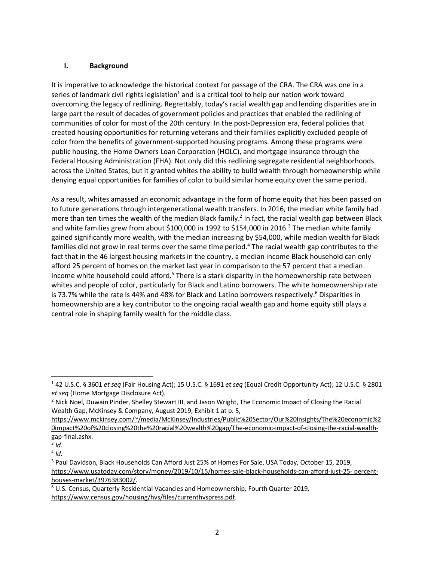#### **I. Background**

It is imperative to acknowledge the historical context for passage of the CRA. The CRA was one in a series of landmark civil rights legislation<sup>1</sup> and is a critical tool to help our nation work toward overcoming the legacy of redlining. Regrettably, today's racial wealth gap and lending disparities are in large part the result of decades of government policies and practices that enabled the redlining of communities of color for most of the 20th century. In the post-Depression era, federal policies that created housing opportunities for returning veterans and their families explicitly excluded people of color from the benefits of government-supported housing programs. Among these programs were public housing, the Home Owners Loan Corporation (HOLC), and mortgage insurance through the Federal Housing Administration (FHA). Not only did this redlining segregate residential neighborhoods across the United States, but it granted whites the ability to build wealth through homeownership while denying equal opportunities for families of color to build similar home equity over the same period.

As a result, whites amassed an economic advantage in the form of home equity that has been passed on to future generations through intergenerational wealth transfers. In 2016, the median white family had more than ten times the wealth of the median Black family.<sup>2</sup> In fact, the racial wealth gap between Black and white families grew from about \$100,000 in 1992 to \$154,000 in 2016.<sup>3</sup> The median white family gained significantly more wealth, with the median increasing by \$54,000, while median wealth for Black families did not grow in real terms over the same time period.<sup>4</sup> The racial wealth gap contributes to the fact that in the 46 largest housing markets in the country, a median income Black household can only afford 25 percent of homes on the market last year in comparison to the 57 percent that a median income white household could afford.<sup>5</sup> There is a stark disparity in the homeownership rate between whites and people of color, particularly for Black and Latino borrowers. The white homeownership rate is 73.7% while the rate is 44% and 48% for Black and Latino borrowers respectively.<sup>6</sup> Disparities in homeownership are a key contributor to the ongoing racial wealth gap and home equity still plays a central role in shaping family wealth for the middle class.

<sup>1</sup> 42 U.S.C. § 3601 *et seq* (Fair Housing Act); 15 U.S.C. § 1691 *et seq* (Equal Credit Opportunity Act); 12 U.S.C. § 2801

*et seq* (Home Mortgage Disclosure Act).<br><sup>2</sup> Nick Noel, Duwain Pinder, Shelley Stewart III, and Jason Wright, The Economic Impact of Closing the Racial Wealth Gap, McKinsey & Company, August 2019, Exhibit 1 at p. 5,

https://www.mckinsey.com/~/media/McKinsey/Industries/Public%20Sector/Our%20Insights/The%20economic%2 0impact%20of%20closing%20the%20racial%20wealth%20gap/The-economic-impact-of-closing-the-racial-wealthgap-final.ashx.<br><sup>3</sup> *Id.* 

 $4$  *Id.* 

<sup>5</sup> Paul Davidson, Black Households Can Afford Just 25% of Homes For Sale, USA Today, October 15, 2019, https://www.usatoday.com/story/money/2019/10/15/homes-sale-black-households-can-afford-just-25- percenthouses-market/3976383002/.

<sup>6</sup> U.S. Census, Quarterly Residential Vacancies and Homeownership, Fourth Quarter 2019, https://www.census.gov/housing/hvs/files/currenthvspress.pdf.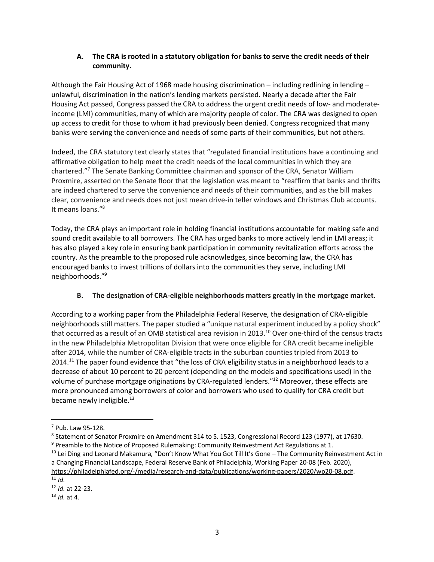### **A. The CRA is rooted in a statutory obligation for banks to serve the credit needs of their community.**

Although the Fair Housing Act of 1968 made housing discrimination – including redlining in lending – unlawful, discrimination in the nation's lending markets persisted. Nearly a decade after the Fair Housing Act passed, Congress passed the CRA to address the urgent credit needs of low- and moderateincome (LMI) communities, many of which are majority people of color. The CRA was designed to open up access to credit for those to whom it had previously been denied. Congress recognized that many banks were serving the convenience and needs of some parts of their communities, but not others.

Indeed, the CRA statutory text clearly states that "regulated financial institutions have a continuing and affirmative obligation to help meet the credit needs of the local communities in which they are chartered."7 The Senate Banking Committee chairman and sponsor of the CRA, Senator William Proxmire, asserted on the Senate floor that the legislation was meant to "reaffirm that banks and thrifts are indeed chartered to serve the convenience and needs of their communities, and as the bill makes clear, convenience and needs does not just mean drive-in teller windows and Christmas Club accounts. It means loans."8

Today, the CRA plays an important role in holding financial institutions accountable for making safe and sound credit available to all borrowers. The CRA has urged banks to more actively lend in LMI areas; it has also played a key role in ensuring bank participation in community revitalization efforts across the country. As the preamble to the proposed rule acknowledges, since becoming law, the CRA has encouraged banks to invest trillions of dollars into the communities they serve, including LMI neighborhoods."9

#### **B. The designation of CRA-eligible neighborhoods matters greatly in the mortgage market.**

According to a working paper from the Philadelphia Federal Reserve, the designation of CRA-eligible neighborhoods still matters. The paper studied a "unique natural experiment induced by a policy shock" that occurred as a result of an OMB statistical area revision in 2013.<sup>10</sup> Over one-third of the census tracts in the new Philadelphia Metropolitan Division that were once eligible for CRA credit became ineligible after 2014, while the number of CRA-eligible tracts in the suburban counties tripled from 2013 to 2014.<sup>11</sup> The paper found evidence that "the loss of CRA eligibility status in a neighborhood leads to a decrease of about 10 percent to 20 percent (depending on the models and specifications used) in the volume of purchase mortgage originations by CRA-regulated lenders."12 Moreover, these effects are more pronounced among borrowers of color and borrowers who used to qualify for CRA credit but became newly ineligible.<sup>13</sup>

<sup>7</sup> Pub. Law 95-128.

<sup>&</sup>lt;sup>8</sup> Statement of Senator Proxmire on Amendment 314 to S. 1523, Congressional Record 123 (1977), at 17630.<br><sup>9</sup> Preamble to the Notice of Proposed Rulemaking: Community Reinvestment Act Regulations at 1.

<sup>&</sup>lt;sup>10</sup> Lei Ding and Leonard Makamura, "Don't Know What You Got Till It's Gone – The Community Reinvestment Act in a Changing Financial Landscape, Federal Reserve Bank of Philadelphia, Working Paper 20-08 (Feb. 2020), https://philadelphiafed.org/-/media/research-and-data/publications/working-papers/2020/wp20-08.pdf. 11 *Id.* 

<sup>12</sup> *Id.* at 22-23. 13 *Id.* at 4.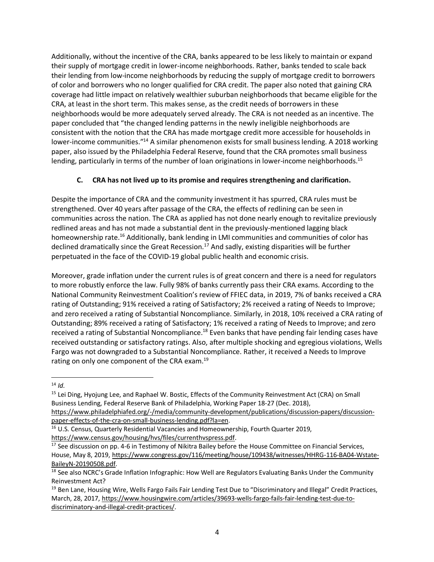Additionally, without the incentive of the CRA, banks appeared to be less likely to maintain or expand their supply of mortgage credit in lower-income neighborhoods. Rather, banks tended to scale back their lending from low-income neighborhoods by reducing the supply of mortgage credit to borrowers of color and borrowers who no longer qualified for CRA credit. The paper also noted that gaining CRA coverage had little impact on relatively wealthier suburban neighborhoods that became eligible for the CRA, at least in the short term. This makes sense, as the credit needs of borrowers in these neighborhoods would be more adequately served already. The CRA is not needed as an incentive. The paper concluded that "the changed lending patterns in the newly ineligible neighborhoods are consistent with the notion that the CRA has made mortgage credit more accessible for households in lower-income communities."14 A similar phenomenon exists for small business lending. A 2018 working paper, also issued by the Philadelphia Federal Reserve, found that the CRA promotes small business lending, particularly in terms of the number of loan originations in lower-income neighborhoods.<sup>15</sup>

## **C. CRA has not lived up to its promise and requires strengthening and clarification.**

Despite the importance of CRA and the community investment it has spurred, CRA rules must be strengthened. Over 40 years after passage of the CRA, the effects of redlining can be seen in communities across the nation. The CRA as applied has not done nearly enough to revitalize previously redlined areas and has not made a substantial dent in the previously-mentioned lagging black homeownership rate.<sup>16</sup> Additionally, bank lending in LMI communities and communities of color has declined dramatically since the Great Recession.<sup>17</sup> And sadly, existing disparities will be further perpetuated in the face of the COVID-19 global public health and economic crisis.

Moreover, grade inflation under the current rules is of great concern and there is a need for regulators to more robustly enforce the law. Fully 98% of banks currently pass their CRA exams. According to the National Community Reinvestment Coalition's review of FFIEC data, in 2019, 7% of banks received a CRA rating of Outstanding; 91% received a rating of Satisfactory; 2% received a rating of Needs to Improve; and zero received a rating of Substantial Noncompliance. Similarly, in 2018, 10% received a CRA rating of Outstanding; 89% received a rating of Satisfactory; 1% received a rating of Needs to Improve; and zero received a rating of Substantial Noncompliance.<sup>18</sup> Even banks that have pending fair lending cases have received outstanding or satisfactory ratings. Also, after multiple shocking and egregious violations, Wells Fargo was not downgraded to a Substantial Noncompliance. Rather, it received a Needs to Improve rating on only one component of the CRA exam.<sup>19</sup>

 $\overline{a}$  $14$  *Id.* 

<sup>&</sup>lt;sup>15</sup> Lei Ding, Hyojung Lee, and Raphael W. Bostic, Effects of the Community Reinvestment Act (CRA) on Small Business Lending, Federal Reserve Bank of Philadelphia, Working Paper 18-27 (Dec. 2018),

https://www.philadelphiafed.org/-/media/community-development/publications/discussion-papers/discussionpaper-effects-of-the-cra-on-small-business-lending.pdf?la=en.<br><sup>16</sup> U.S. Census, Quarterly Residential Vacancies and Homeownership, Fourth Quarter 2019,

https://www.census.gov/housing/hvs/files/currenthvspress.pdf.<br><sup>17</sup> See discussion on pp. 4-6 in Testimony of Nikitra Bailey before the House Committee on Financial Services, House, May 8, 2019, https://www.congress.gov/116/meeting/house/109438/witnesses/HHRG-116-BA04-Wstate-BaileyN-20190508.pdf.<br><sup>18</sup> See also NCRC's Grade Inflation Infographic: How Well are Regulators Evaluating Banks Under the Community

Reinvestment Act?

<sup>&</sup>lt;sup>19</sup> Ben Lane, Housing Wire, Wells Fargo Fails Fair Lending Test Due to "Discriminatory and Illegal" Credit Practices, March, 28, 2017, https://www.housingwire.com/articles/39693-wells-fargo-fails-fair-lending-test-due-todiscriminatory-and-illegal-credit-practices/.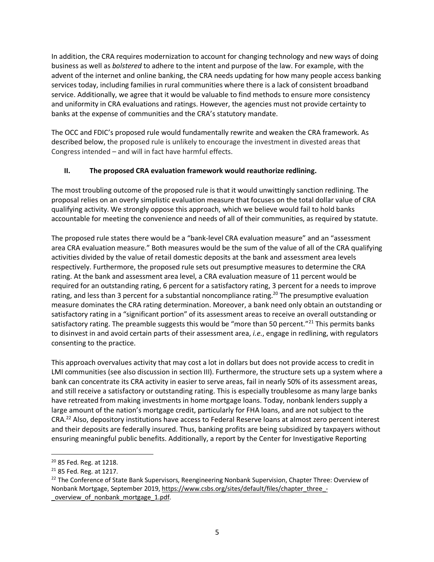In addition, the CRA requires modernization to account for changing technology and new ways of doing business as well as *bolstered* to adhere to the intent and purpose of the law. For example, with the advent of the internet and online banking, the CRA needs updating for how many people access banking services today, including families in rural communities where there is a lack of consistent broadband service. Additionally, we agree that it would be valuable to find methods to ensure more consistency and uniformity in CRA evaluations and ratings. However, the agencies must not provide certainty to banks at the expense of communities and the CRA's statutory mandate.

The OCC and FDIC's proposed rule would fundamentally rewrite and weaken the CRA framework. As described below, the proposed rule is unlikely to encourage the investment in divested areas that Congress intended – and will in fact have harmful effects.

#### **II. The proposed CRA evaluation framework would reauthorize redlining.**

The most troubling outcome of the proposed rule is that it would unwittingly sanction redlining. The proposal relies on an overly simplistic evaluation measure that focuses on the total dollar value of CRA qualifying activity. We strongly oppose this approach, which we believe would fail to hold banks accountable for meeting the convenience and needs of all of their communities, as required by statute.

The proposed rule states there would be a "bank-level CRA evaluation measure" and an "assessment area CRA evaluation measure." Both measures would be the sum of the value of all of the CRA qualifying activities divided by the value of retail domestic deposits at the bank and assessment area levels respectively. Furthermore, the proposed rule sets out presumptive measures to determine the CRA rating. At the bank and assessment area level, a CRA evaluation measure of 11 percent would be required for an outstanding rating, 6 percent for a satisfactory rating, 3 percent for a needs to improve rating, and less than 3 percent for a substantial noncompliance rating.<sup>20</sup> The presumptive evaluation measure dominates the CRA rating determination. Moreover, a bank need only obtain an outstanding or satisfactory rating in a "significant portion" of its assessment areas to receive an overall outstanding or satisfactory rating. The preamble suggests this would be "more than 50 percent."<sup>21</sup> This permits banks to disinvest in and avoid certain parts of their assessment area, *i.e.*, engage in redlining, with regulators consenting to the practice.

This approach overvalues activity that may cost a lot in dollars but does not provide access to credit in LMI communities (see also discussion in section III). Furthermore, the structure sets up a system where a bank can concentrate its CRA activity in easier to serve areas, fail in nearly 50% of its assessment areas, and still receive a satisfactory or outstanding rating. This is especially troublesome as many large banks have retreated from making investments in home mortgage loans. Today, nonbank lenders supply a large amount of the nation's mortgage credit, particularly for FHA loans, and are not subject to the CRA.22 Also, depository institutions have access to Federal Reserve loans at almost zero percent interest and their deposits are federally insured. Thus, banking profits are being subsidized by taxpayers without ensuring meaningful public benefits. Additionally, a report by the Center for Investigative Reporting

<sup>20</sup> 85 Fed. Reg. at 1218.

<sup>&</sup>lt;sup>21</sup> 85 Fed. Reg. at 1217.

<sup>&</sup>lt;sup>22</sup> The Conference of State Bank Supervisors, Reengineering Nonbank Supervision, Chapter Three: Overview of Nonbank Mortgage, September 2019, https://www.csbs.org/sites/default/files/chapter\_three\_-\_overview\_of\_nonbank\_mortgage\_1.pdf.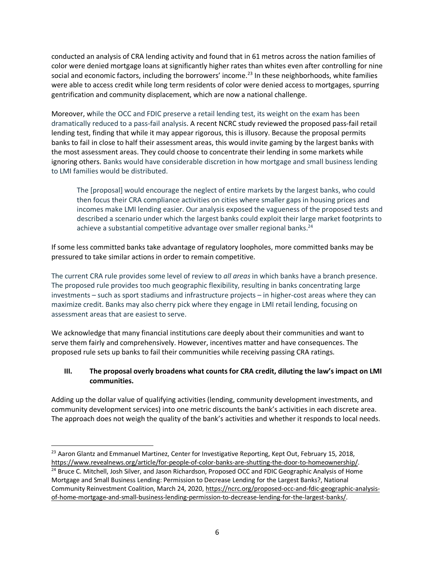conducted an analysis of CRA lending activity and found that in 61 metros across the nation families of color were denied mortgage loans at significantly higher rates than whites even after controlling for nine social and economic factors, including the borrowers' income.<sup>23</sup> In these neighborhoods, white families were able to access credit while long term residents of color were denied access to mortgages, spurring gentrification and community displacement, which are now a national challenge.

Moreover, while the OCC and FDIC preserve a retail lending test, its weight on the exam has been dramatically reduced to a pass-fail analysis. A recent NCRC study reviewed the proposed pass-fail retail lending test, finding that while it may appear rigorous, this is illusory. Because the proposal permits banks to fail in close to half their assessment areas, this would invite gaming by the largest banks with the most assessment areas. They could choose to concentrate their lending in some markets while ignoring others. Banks would have considerable discretion in how mortgage and small business lending to LMI families would be distributed.

The [proposal] would encourage the neglect of entire markets by the largest banks, who could then focus their CRA compliance activities on cities where smaller gaps in housing prices and incomes make LMI lending easier. Our analysis exposed the vagueness of the proposed tests and described a scenario under which the largest banks could exploit their large market footprints to achieve a substantial competitive advantage over smaller regional banks.<sup>24</sup>

If some less committed banks take advantage of regulatory loopholes, more committed banks may be pressured to take similar actions in order to remain competitive.

The current CRA rule provides some level of review to *all areas* in which banks have a branch presence. The proposed rule provides too much geographic flexibility, resulting in banks concentrating large investments – such as sport stadiums and infrastructure projects – in higher-cost areas where they can maximize credit. Banks may also cherry pick where they engage in LMI retail lending, focusing on assessment areas that are easiest to serve.

We acknowledge that many financial institutions care deeply about their communities and want to serve them fairly and comprehensively. However, incentives matter and have consequences. The proposed rule sets up banks to fail their communities while receiving passing CRA ratings.

## **III. The proposal overly broadens what counts for CRA credit, diluting the law's impact on LMI communities.**

Adding up the dollar value of qualifying activities (lending, community development investments, and community development services) into one metric discounts the bank's activities in each discrete area. The approach does not weigh the quality of the bank's activities and whether it responds to local needs.

 $\overline{a}$  $^{23}$  Aaron Glantz and Emmanuel Martinez, Center for Investigative Reporting, Kept Out, February 15, 2018, https://www.revealnews.org/article/for-people-of-color-banks-are-shutting-the-door-to-homeownership/.<br><sup>24</sup> Bruce C. Mitchell, Josh Silver, and Jason Richardson, Proposed OCC and FDIC Geographic Analysis of Home

Mortgage and Small Business Lending: Permission to Decrease Lending for the Largest Banks?, National Community Reinvestment Coalition, March 24, 2020, https://ncrc.org/proposed-occ-and-fdic-geographic-analysisof-home-mortgage-and-small-business-lending-permission-to-decrease-lending-for-the-largest-banks/.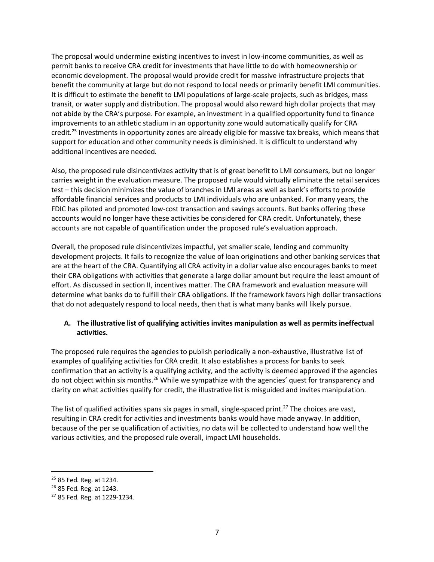The proposal would undermine existing incentives to invest in low-income communities, as well as permit banks to receive CRA credit for investments that have little to do with homeownership or economic development. The proposal would provide credit for massive infrastructure projects that benefit the community at large but do not respond to local needs or primarily benefit LMI communities. It is difficult to estimate the benefit to LMI populations of large-scale projects, such as bridges, mass transit, or water supply and distribution. The proposal would also reward high dollar projects that may not abide by the CRA's purpose. For example, an investment in a qualified opportunity fund to finance improvements to an athletic stadium in an opportunity zone would automatically qualify for CRA credit.<sup>25</sup> Investments in opportunity zones are already eligible for massive tax breaks, which means that support for education and other community needs is diminished. It is difficult to understand why additional incentives are needed.

Also, the proposed rule disincentivizes activity that is of great benefit to LMI consumers, but no longer carries weight in the evaluation measure. The proposed rule would virtually eliminate the retail services test – this decision minimizes the value of branches in LMI areas as well as bank's efforts to provide affordable financial services and products to LMI individuals who are unbanked. For many years, the FDIC has piloted and promoted low-cost transaction and savings accounts. But banks offering these accounts would no longer have these activities be considered for CRA credit. Unfortunately, these accounts are not capable of quantification under the proposed rule's evaluation approach.

Overall, the proposed rule disincentivizes impactful, yet smaller scale, lending and community development projects. It fails to recognize the value of loan originations and other banking services that are at the heart of the CRA. Quantifying all CRA activity in a dollar value also encourages banks to meet their CRA obligations with activities that generate a large dollar amount but require the least amount of effort. As discussed in section II, incentives matter. The CRA framework and evaluation measure will determine what banks do to fulfill their CRA obligations. If the framework favors high dollar transactions that do not adequately respond to local needs, then that is what many banks will likely pursue.

#### **A. The illustrative list of qualifying activities invites manipulation as well as permits ineffectual activities.**

The proposed rule requires the agencies to publish periodically a non-exhaustive, illustrative list of examples of qualifying activities for CRA credit. It also establishes a process for banks to seek confirmation that an activity is a qualifying activity, and the activity is deemed approved if the agencies do not object within six months.<sup>26</sup> While we sympathize with the agencies' quest for transparency and clarity on what activities qualify for credit, the illustrative list is misguided and invites manipulation.

The list of qualified activities spans six pages in small, single-spaced print.<sup>27</sup> The choices are vast, resulting in CRA credit for activities and investments banks would have made anyway. In addition, because of the per se qualification of activities, no data will be collected to understand how well the various activities, and the proposed rule overall, impact LMI households.

 $25$  85 Fed. Reg. at 1234.<br> $26$  85 Fed. Reg. at 1243.

<sup>27</sup> 85 Fed. Reg. at 1229-1234.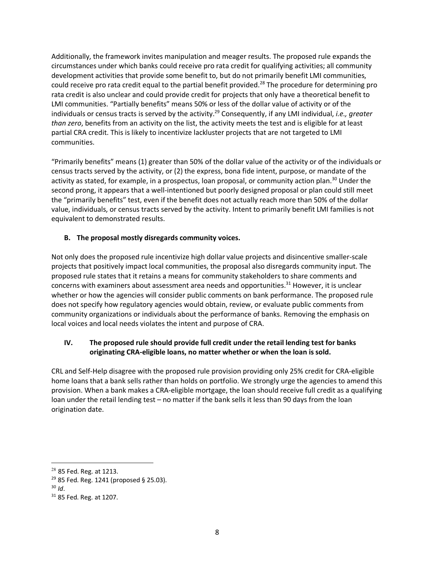Additionally, the framework invites manipulation and meager results. The proposed rule expands the circumstances under which banks could receive pro rata credit for qualifying activities; all community development activities that provide some benefit to, but do not primarily benefit LMI communities, could receive pro rata credit equal to the partial benefit provided.28 The procedure for determining pro rata credit is also unclear and could provide credit for projects that only have a theoretical benefit to LMI communities. "Partially benefits" means 50% or less of the dollar value of activity or of the individuals or census tracts is served by the activity.29 Consequently, if any LMI individual, *i.e., greater than zero*, benefits from an activity on the list, the activity meets the test and is eligible for at least partial CRA credit. This is likely to incentivize lackluster projects that are not targeted to LMI communities.

"Primarily benefits" means (1) greater than 50% of the dollar value of the activity or of the individuals or census tracts served by the activity, or (2) the express, bona fide intent, purpose, or mandate of the activity as stated, for example, in a prospectus, loan proposal, or community action plan.<sup>30</sup> Under the second prong, it appears that a well-intentioned but poorly designed proposal or plan could still meet the "primarily benefits" test, even if the benefit does not actually reach more than 50% of the dollar value, individuals, or census tracts served by the activity. Intent to primarily benefit LMI families is not equivalent to demonstrated results.

## **B. The proposal mostly disregards community voices.**

Not only does the proposed rule incentivize high dollar value projects and disincentive smaller-scale projects that positively impact local communities, the proposal also disregards community input. The proposed rule states that it retains a means for community stakeholders to share comments and concerns with examiners about assessment area needs and opportunities.<sup>31</sup> However, it is unclear whether or how the agencies will consider public comments on bank performance. The proposed rule does not specify how regulatory agencies would obtain, review, or evaluate public comments from community organizations or individuals about the performance of banks. Removing the emphasis on local voices and local needs violates the intent and purpose of CRA.

#### **IV. The proposed rule should provide full credit under the retail lending test for banks originating CRA-eligible loans, no matter whether or when the loan is sold.**

CRL and Self-Help disagree with the proposed rule provision providing only 25% credit for CRA-eligible home loans that a bank sells rather than holds on portfolio. We strongly urge the agencies to amend this provision. When a bank makes a CRA-eligible mortgage, the loan should receive full credit as a qualifying loan under the retail lending test – no matter if the bank sells it less than 90 days from the loan origination date.

 $28$  85 Fed. Reg. at 1213.

<sup>29</sup> 85 Fed. Reg. 1241 (proposed § 25.03). 30 *Id*.

<sup>31</sup> 85 Fed. Reg. at 1207.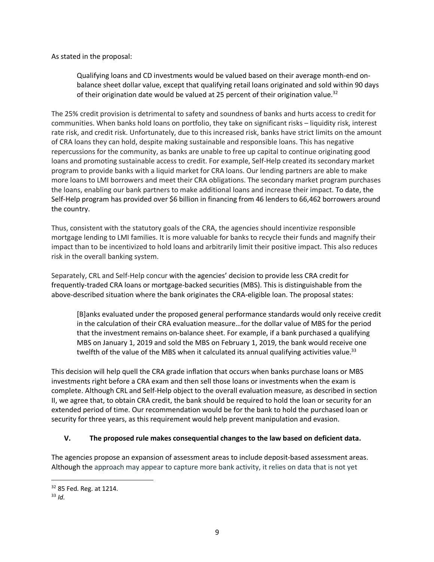As stated in the proposal:

Qualifying loans and CD investments would be valued based on their average month-end onbalance sheet dollar value, except that qualifying retail loans originated and sold within 90 days of their origination date would be valued at 25 percent of their origination value.<sup>32</sup>

The 25% credit provision is detrimental to safety and soundness of banks and hurts access to credit for communities. When banks hold loans on portfolio, they take on significant risks – liquidity risk, interest rate risk, and credit risk. Unfortunately, due to this increased risk, banks have strict limits on the amount of CRA loans they can hold, despite making sustainable and responsible loans. This has negative repercussions for the community, as banks are unable to free up capital to continue originating good loans and promoting sustainable access to credit. For example, Self-Help created its secondary market program to provide banks with a liquid market for CRA loans. Our lending partners are able to make more loans to LMI borrowers and meet their CRA obligations. The secondary market program purchases the loans, enabling our bank partners to make additional loans and increase their impact. To date, the Self-Help program has provided over \$6 billion in financing from 46 lenders to 66,462 borrowers around the country.

Thus, consistent with the statutory goals of the CRA, the agencies should incentivize responsible mortgage lending to LMI families. It is more valuable for banks to recycle their funds and magnify their impact than to be incentivized to hold loans and arbitrarily limit their positive impact. This also reduces risk in the overall banking system.

Separately, CRL and Self-Help concur with the agencies' decision to provide less CRA credit for frequently-traded CRA loans or mortgage-backed securities (MBS). This is distinguishable from the above-described situation where the bank originates the CRA-eligible loan. The proposal states:

[B]anks evaluated under the proposed general performance standards would only receive credit in the calculation of their CRA evaluation measure…for the dollar value of MBS for the period that the investment remains on-balance sheet. For example, if a bank purchased a qualifying MBS on January 1, 2019 and sold the MBS on February 1, 2019, the bank would receive one twelfth of the value of the MBS when it calculated its annual qualifying activities value.<sup>33</sup>

This decision will help quell the CRA grade inflation that occurs when banks purchase loans or MBS investments right before a CRA exam and then sell those loans or investments when the exam is complete. Although CRL and Self-Help object to the overall evaluation measure, as described in section II, we agree that, to obtain CRA credit, the bank should be required to hold the loan or security for an extended period of time. Our recommendation would be for the bank to hold the purchased loan or security for three years, as this requirement would help prevent manipulation and evasion.

#### **V. The proposed rule makes consequential changes to the law based on deficient data.**

The agencies propose an expansion of assessment areas to include deposit-based assessment areas. Although the approach may appear to capture more bank activity, it relies on data that is not yet

<sup>32</sup> 85 Fed. Reg. at 1214.

 $33$  *Id.*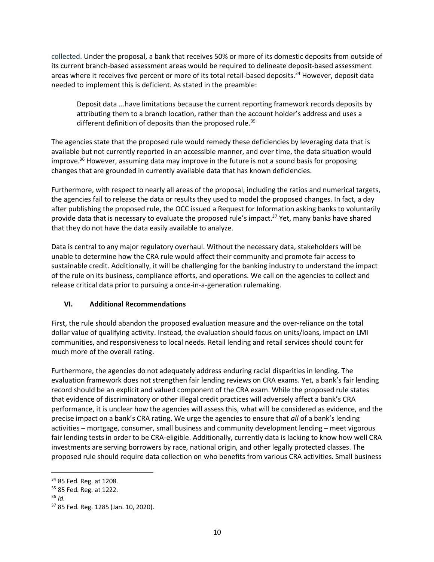collected. Under the proposal, a bank that receives 50% or more of its domestic deposits from outside of its current branch-based assessment areas would be required to delineate deposit-based assessment areas where it receives five percent or more of its total retail-based deposits.<sup>34</sup> However, deposit data needed to implement this is deficient. As stated in the preamble:

Deposit data ...have limitations because the current reporting framework records deposits by attributing them to a branch location, rather than the account holder's address and uses a different definition of deposits than the proposed rule.<sup>35</sup>

The agencies state that the proposed rule would remedy these deficiencies by leveraging data that is available but not currently reported in an accessible manner, and over time, the data situation would improve.<sup>36</sup> However, assuming data may improve in the future is not a sound basis for proposing changes that are grounded in currently available data that has known deficiencies.

Furthermore, with respect to nearly all areas of the proposal, including the ratios and numerical targets, the agencies fail to release the data or results they used to model the proposed changes. In fact, a day after publishing the proposed rule, the OCC issued a Request for Information asking banks to voluntarily provide data that is necessary to evaluate the proposed rule's impact.<sup>37</sup> Yet, many banks have shared that they do not have the data easily available to analyze.

Data is central to any major regulatory overhaul. Without the necessary data, stakeholders will be unable to determine how the CRA rule would affect their community and promote fair access to sustainable credit. Additionally, it will be challenging for the banking industry to understand the impact of the rule on its business, compliance efforts, and operations. We call on the agencies to collect and release critical data prior to pursuing a once-in-a-generation rulemaking.

# **VI. Additional Recommendations**

First, the rule should abandon the proposed evaluation measure and the over-reliance on the total dollar value of qualifying activity. Instead, the evaluation should focus on units/loans, impact on LMI communities, and responsiveness to local needs. Retail lending and retail services should count for much more of the overall rating.

Furthermore, the agencies do not adequately address enduring racial disparities in lending. The evaluation framework does not strengthen fair lending reviews on CRA exams. Yet, a bank's fair lending record should be an explicit and valued component of the CRA exam. While the proposed rule states that evidence of discriminatory or other illegal credit practices will adversely affect a bank's CRA performance, it is unclear how the agencies will assess this, what will be considered as evidence, and the precise impact on a bank's CRA rating. We urge the agencies to ensure that *all* of a bank's lending activities – mortgage, consumer, small business and community development lending – meet vigorous fair lending tests in order to be CRA-eligible. Additionally, currently data is lacking to know how well CRA investments are serving borrowers by race, national origin, and other legally protected classes. The proposed rule should require data collection on who benefits from various CRA activities. Small business

<sup>34</sup> 85 Fed. Reg. at 1208.

<sup>35</sup> 85 Fed. Reg. at 1222. 36 *Id.* 

<sup>37</sup> 85 Fed. Reg. 1285 (Jan. 10, 2020).